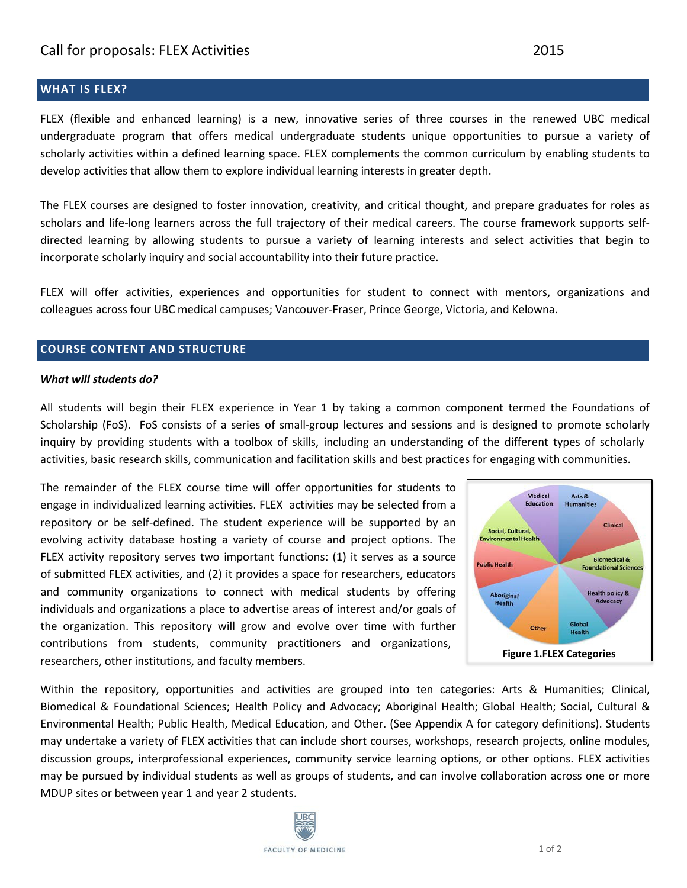### **WHAT IS FLEX?**

FLEX (flexible and enhanced learning) is a new, innovative series of three courses in the renewed UBC medical undergraduate program that offers medical undergraduate students unique opportunities to pursue a variety of scholarly activities within a defined learning space. FLEX complements the common curriculum by enabling students to develop activities that allow them to explore individual learning interests in greater depth.

The FLEX courses are designed to foster innovation, creativity, and critical thought, and prepare graduates for roles as scholars and life-long learners across the full trajectory of their medical careers. The course framework supports selfdirected learning by allowing students to pursue a variety of learning interests and select activities that begin to incorporate scholarly inquiry and social accountability into their future practice.

FLEX will offer activities, experiences and opportunities for student to connect with mentors, organizations and colleagues across four UBC medical campuses; Vancouver-Fraser, Prince George, Victoria, and Kelowna.

#### **COURSE CONTENT AND STRUCTURE**

#### *What will students do?*

All students will begin their FLEX experience in Year 1 by taking a common component termed the Foundations of Scholarship (FoS). FoS consists of a series of small-group lectures and sessions and is designed to promote scholarly inquiry by providing students with a toolbox of skills, including an understanding of the different types of scholarly activities, basic research skills, communication and facilitation skills and best practices for engaging with communities.

The remainder of the FLEX course time will offer opportunities for students to engage in individualized learning activities. FLEX activities may be selected from a repository or be self-defined. The student experience will be supported by an evolving activity database hosting a variety of course and project options. The FLEX activity repository serves two important functions: (1) it serves as a source of submitted FLEX activities, and (2) it provides a space for researchers, educators and community organizations to connect with medical students by offering individuals and organizations a place to advertise areas of interest and/or goals of the organization. This repository will grow and evolve over time with further contributions from students, community practitioners and organizations, researchers, other institutions, and faculty members.



Within the repository, opportunities and activities are grouped into ten categories: Arts & Humanities; Clinical, Biomedical & Foundational Sciences; Health Policy and Advocacy; Aboriginal Health; Global Health; Social, Cultural & Environmental Health; Public Health, Medical Education, and Other. (See Appendix A for category definitions). Students may undertake a variety of FLEX activities that can include short courses, workshops, research projects, online modules, discussion groups, interprofessional experiences, community service learning options, or other options. FLEX activities may be pursued by individual students as well as groups of students, and can involve collaboration across one or more MDUP sites or between year 1 and year 2 students.

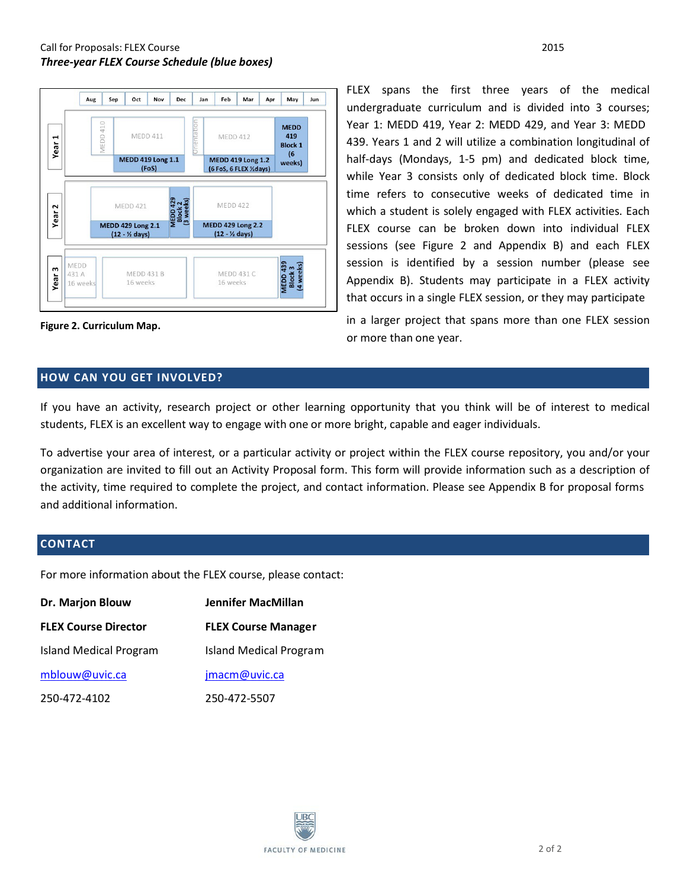

**Figure 2. Curriculum Map.**

FLEX spans the first three years of the medical undergraduate curriculum and is divided into 3 courses; Year 1: MEDD 419, Year 2: MEDD 429, and Year 3: MEDD 439. Years 1 and 2 will utilize a combination longitudinal of half-days (Mondays, 1-5 pm) and dedicated block time, while Year 3 consists only of dedicated block time. Block time refers to consecutive weeks of dedicated time in which a student is solely engaged with FLEX activities. Each FLEX course can be broken down into individual FLEX sessions (see Figure 2 and Appendix B) and each FLEX session is identified by a session number (please see Appendix B). Students may participate in a FLEX activity that occurs in a single FLEX session, or they may participate

in a larger project that spans more than one FLEX session or more than one year.

#### **HOW CAN YOU GET INVOLVED?**

If you have an activity, research project or other learning opportunity that you think will be of interest to medical students, FLEX is an excellent way to engage with one or more bright, capable and eager individuals.

To advertise your area of interest, or a particular activity or project within the FLEX course repository, you and/or your organization are invited to fill out an Activity Proposal form. This form will provide information such as a description of the activity, time required to complete the project, and contact information. Please see Appendix B for proposal forms and additional information.

#### **CONTACT**

For more information about the FLEX course, please contact:

| Dr. Marjon Blouw              | <b>Jennifer MacMillan</b>     |  |
|-------------------------------|-------------------------------|--|
| <b>FLEX Course Director</b>   | <b>FLEX Course Manager</b>    |  |
| <b>Island Medical Program</b> | <b>Island Medical Program</b> |  |
| mblouw@uvic.ca                | jmacm@uvic.ca                 |  |
| 250-472-4102                  | 250-472-5507                  |  |

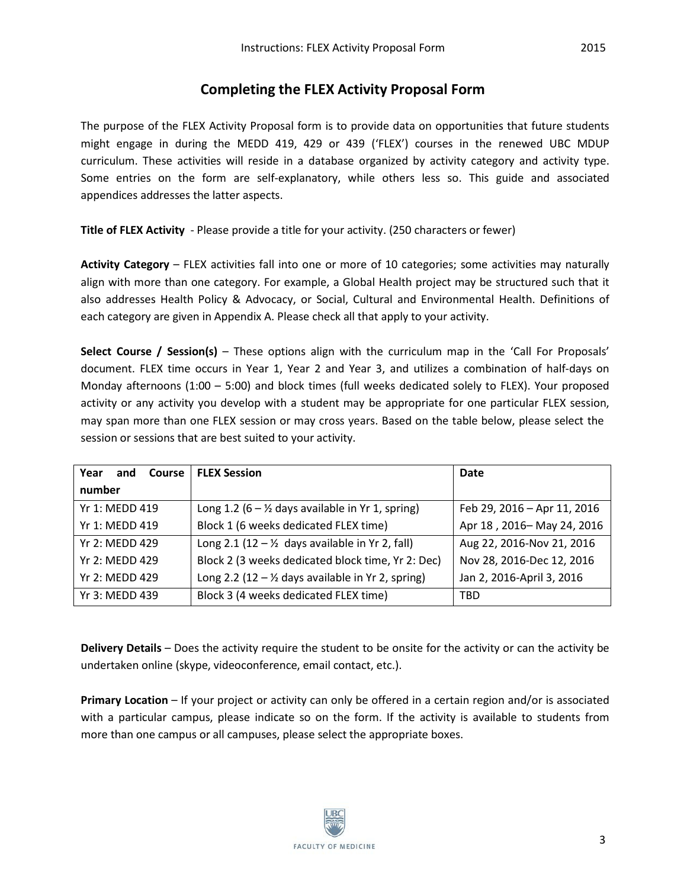## **Completing the FLEX Activity Proposal Form**

The purpose of the FLEX Activity Proposal form is to provide data on opportunities that future students might engage in during the MEDD 419, 429 or 439 ('FLEX') courses in the renewed UBC MDUP curriculum. These activities will reside in a database organized by activity category and activity type. Some entries on the form are self-explanatory, while others less so. This guide and associated appendices addresses the latter aspects.

**Title of FLEX Activity** - Please provide a title for your activity. (250 characters or fewer)

**Activity Category** – FLEX activities fall into one or more of 10 categories; some activities may naturally align with more than one category. For example, a Global Health project may be structured such that it also addresses Health Policy & Advocacy, or Social, Cultural and Environmental Health. Definitions of each category are given in Appendix A. Please check all that apply to your activity.

**Select Course / Session(s)** – These options align with the curriculum map in the 'Call For Proposals' document. FLEX time occurs in Year 1, Year 2 and Year 3, and utilizes a combination of half-days on Monday afternoons (1:00 – 5:00) and block times (full weeks dedicated solely to FLEX). Your proposed activity or any activity you develop with a student may be appropriate for one particular FLEX session, may span more than one FLEX session or may cross years. Based on the table below, please select the session or sessions that are best suited to your activity.

| Course 1<br>Year<br>and | <b>FLEX Session</b>                                          | Date                        |
|-------------------------|--------------------------------------------------------------|-----------------------------|
| number                  |                                                              |                             |
| Yr 1: MFDD 419          | Long 1.2 (6 – $\frac{1}{2}$ days available in Yr 1, spring)  | Feb 29, 2016 - Apr 11, 2016 |
| Yr 1: MEDD 419          | Block 1 (6 weeks dedicated FLEX time)                        | Apr 18, 2016-May 24, 2016   |
| Yr 2: MFDD 429          | Long 2.1 (12 $ \frac{1}{2}$ days available in Yr 2, fall)    | Aug 22, 2016-Nov 21, 2016   |
| Yr 2: MFDD 429          | Block 2 (3 weeks dedicated block time, Yr 2: Dec)            | Nov 28, 2016-Dec 12, 2016   |
| Yr 2: MEDD 429          | Long 2.2 (12 - $\frac{1}{2}$ days available in Yr 2, spring) | Jan 2, 2016-April 3, 2016   |
| Yr 3: MEDD 439          | Block 3 (4 weeks dedicated FLEX time)                        | TBD                         |

**Delivery Details** – Does the activity require the student to be onsite for the activity or can the activity be undertaken online (skype, videoconference, email contact, etc.).

**Primary Location** – If your project or activity can only be offered in a certain region and/or is associated with a particular campus, please indicate so on the form. If the activity is available to students from more than one campus or all campuses, please select the appropriate boxes.

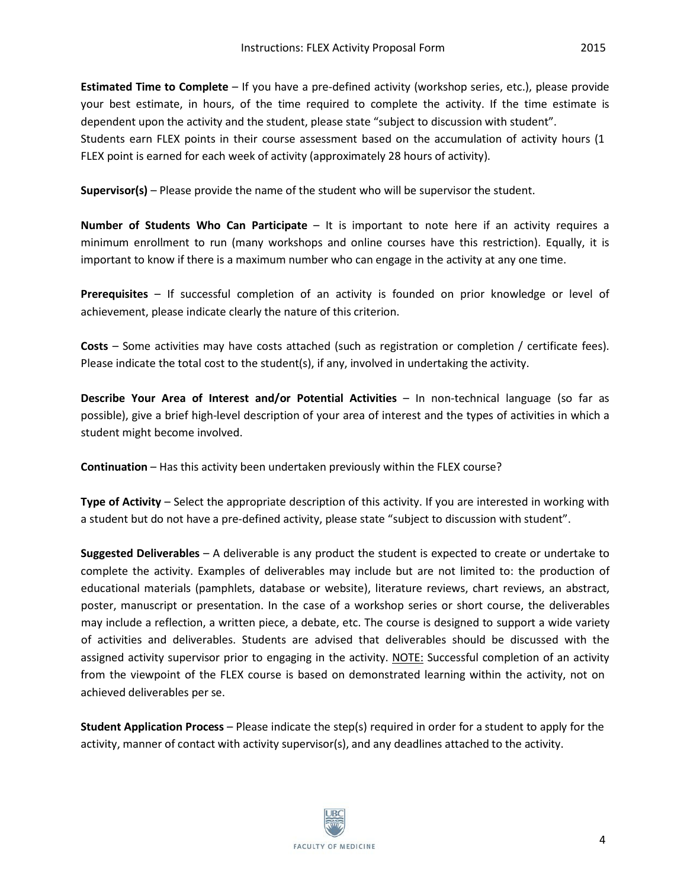**Estimated Time to Complete** – If you have a pre-defined activity (workshop series, etc.), please provide your best estimate, in hours, of the time required to complete the activity. If the time estimate is dependent upon the activity and the student, please state "subject to discussion with student". Students earn FLEX points in their course assessment based on the accumulation of activity hours (1 FLEX point is earned for each week of activity (approximately 28 hours of activity).

**Supervisor(s)** – Please provide the name of the student who will be supervisor the student.

**Number of Students Who Can Participate** – It is important to note here if an activity requires a minimum enrollment to run (many workshops and online courses have this restriction). Equally, it is important to know if there is a maximum number who can engage in the activity at any one time.

**Prerequisites** – If successful completion of an activity is founded on prior knowledge or level of achievement, please indicate clearly the nature of this criterion.

**Costs** – Some activities may have costs attached (such as registration or completion / certificate fees). Please indicate the total cost to the student(s), if any, involved in undertaking the activity.

**Describe Your Area of Interest and/or Potential Activities** – In non-technical language (so far as possible), give a brief high-level description of your area of interest and the types of activities in which a student might become involved.

**Continuation** – Has this activity been undertaken previously within the FLEX course?

**Type of Activity** – Select the appropriate description of this activity. If you are interested in working with a student but do not have a pre-defined activity, please state "subject to discussion with student".

**Suggested Deliverables** – A deliverable is any product the student is expected to create or undertake to complete the activity. Examples of deliverables may include but are not limited to: the production of educational materials (pamphlets, database or website), literature reviews, chart reviews, an abstract, poster, manuscript or presentation. In the case of a workshop series or short course, the deliverables may include a reflection, a written piece, a debate, etc. The course is designed to support a wide variety of activities and deliverables. Students are advised that deliverables should be discussed with the assigned activity supervisor prior to engaging in the activity. NOTE: Successful completion of an activity from the viewpoint of the FLEX course is based on demonstrated learning within the activity, not on achieved deliverables per se.

**Student Application Process** – Please indicate the step(s) required in order for a student to apply for the activity, manner of contact with activity supervisor(s), and any deadlines attached to the activity.

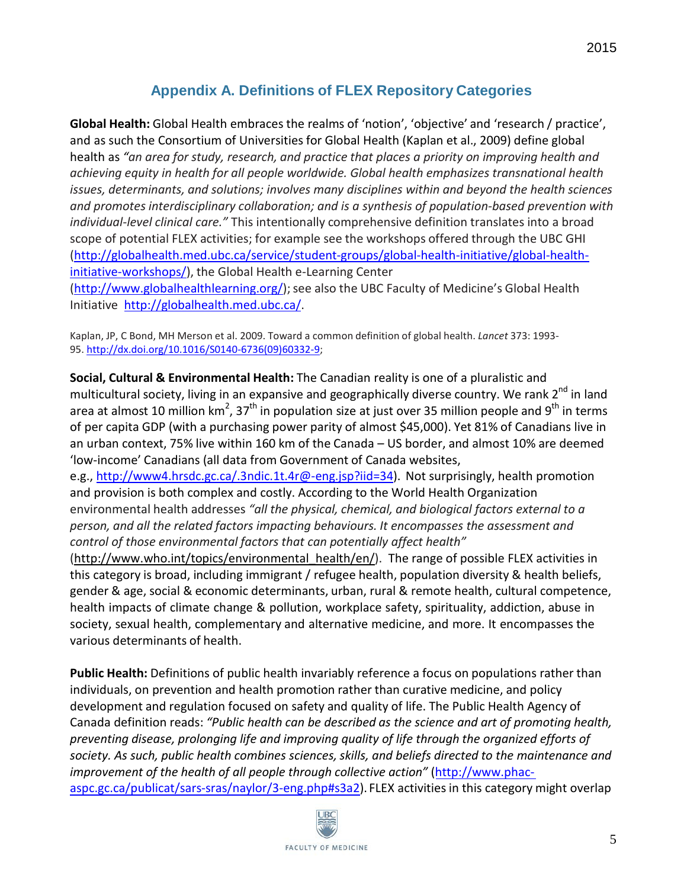# **Appendix A. Definitions of FLEX Repository Categories**

**Global Health:** Global Health embraces the realms of 'notion', 'objective' and 'research / practice', and as such the Consortium of Universities for Global Health (Kaplan et al., 2009) define global health as *"an area for study, research, and practice that places a priority on improving health and achieving equity in health for all people worldwide. Global health emphasizes transnational health issues, determinants, and solutions; involves many disciplines within and beyond the health sciences and promotes interdisciplinary collaboration; and is a synthesis of population-based prevention with individual-level clinical care."* This intentionally comprehensive definition translates into a broad scope of potential FLEX activities; for example see the workshops offered through the UBC GHI [\(http://globalhealth.med.ubc.ca/service/student-groups/global-health-initiative/global-health](http://globalhealth.med.ubc.ca/service/student-groups/global-health-initiative/global-health-initiative-workshops/)[initiative-workshops/\)](http://globalhealth.med.ubc.ca/service/student-groups/global-health-initiative/global-health-initiative-workshops/), the Global Health e-Learning Center [\(http://www.globalhealthlearning.org/\)](http://www.globalhealthlearning.org/); see also the UBC Faculty of Medicine's Global Health

Initiative [http://globalhealth.med.ubc.ca/.](http://globalhealth.med.ubc.ca/)

Kaplan, JP, C Bond, MH Merson et al. 2009. Toward a common definition of global health. *Lancet* 373: 1993- 95. [http://dx.doi.org/10.1016/S0140-6736\(09\)60332-9;](http://dx.doi.org/10.1016/S0140-6736(09)60332-9)

**Social, Cultural & Environmental Health:** The Canadian reality is one of a pluralistic and multicultural society, living in an expansive and geographically diverse country. We rank 2<sup>nd</sup> in land area at almost 10 million km<sup>2</sup>, 37<sup>th</sup> in population size at just over 35 million people and 9<sup>th</sup> in terms of per capita GDP (with a purchasing power parity of almost \$45,000). Yet 81% of Canadians live in an urban context, 75% live within 160 km of the Canada – US border, and almost 10% are deemed 'low-income' Canadians (all data from Government of Canada websites,

e.g., [http://www4.hrsdc.gc.ca/.3ndic.1t.4r@-eng.jsp?iid=34\)](http://www4.hrsdc.gc.ca/.3ndic.1t.4r%40-eng.jsp?iid=34). Not surprisingly, health promotion and provision is both complex and costly. According to the World Health Organization environmental health addresses *"all the physical, chemical, and biological factors external to a person, and all the related factors impacting behaviours. It encompasses the assessment and control of those environmental factors that can potentially affect health"* 

[\(http://www.who.int/topics/environmental\\_health/en/\)](http://www.who.int/topics/environmental_health/en/). The range of possible FLEX activities in this category is broad, including immigrant / refugee health, population diversity & health beliefs, gender & age, social & economic determinants, urban, rural & remote health, cultural competence, health impacts of climate change & pollution, workplace safety, spirituality, addiction, abuse in society, sexual health, complementary and alternative medicine, and more. It encompasses the various determinants of health.

**Public Health:** Definitions of public health invariably reference a focus on populations rather than individuals, on prevention and health promotion rather than curative medicine, and policy development and regulation focused on safety and quality of life. The Public Health Agency of Canada definition reads: *"Public health can be described as the science and art of promoting health, preventing disease, prolonging life and improving quality of life through the organized efforts of society. As such, public health combines sciences,skills, and beliefs directed to the maintenance and improvement of the health of all people through collective action"* [\(http://www.phac](http://www.phac-aspc.gc.ca/publicat/sars-sras/naylor/3-eng.php#s3a2)[aspc.gc.ca/publicat/sars-sras/naylor/3-eng.php#s3a2\)](http://www.phac-aspc.gc.ca/publicat/sars-sras/naylor/3-eng.php#s3a2). FLEX activities in this category might overlap

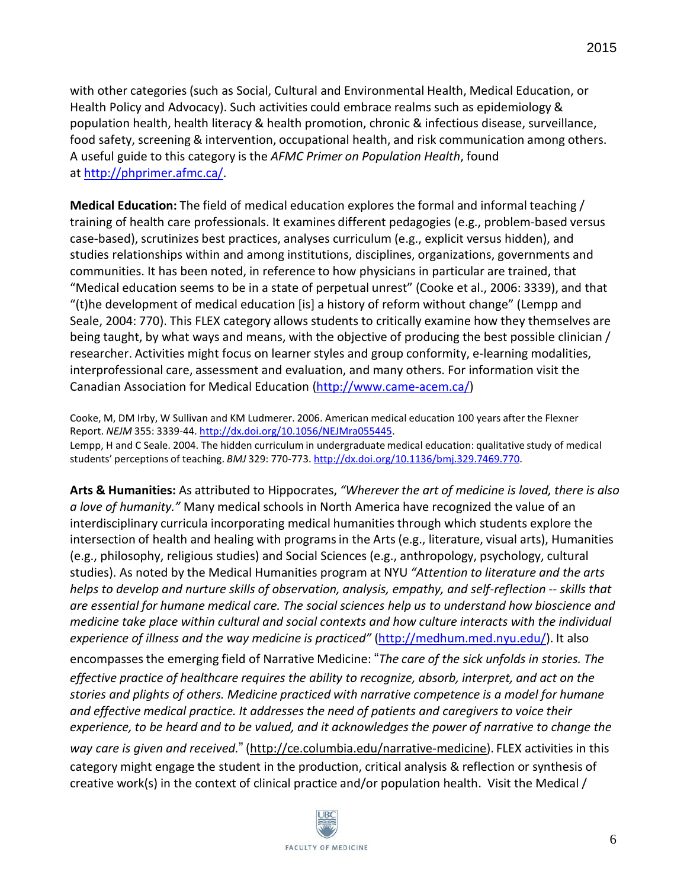with other categories (such as Social, Cultural and Environmental Health, Medical Education, or Health Policy and Advocacy). Such activities could embrace realms such as epidemiology & population health, health literacy & health promotion, chronic & infectious disease, surveillance, food safety, screening & intervention, occupational health, and risk communication among others. A useful guide to this category is the *AFMC Primer on Population Health*, found at [http://phprimer.afmc.ca/.](http://phprimer.afmc.ca/)

**Medical Education:** The field of medical education explores the formal and informal teaching / training of health care professionals. It examines different pedagogies (e.g., problem-based versus case-based), scrutinizes best practices, analyses curriculum (e.g., explicit versus hidden), and studies relationships within and among institutions, disciplines, organizations, governments and communities. It has been noted, in reference to how physicians in particular are trained, that "Medical education seems to be in a state of perpetual unrest" (Cooke et al., 2006: 3339), and that "(t)he development of medical education [is] a history of reform without change" (Lempp and Seale, 2004: 770). This FLEX category allows students to critically examine how they themselves are being taught, by what ways and means, with the objective of producing the best possible clinician / researcher. Activities might focus on learner styles and group conformity, e-learning modalities, interprofessional care, assessment and evaluation, and many others. For information visit the Canadian Association for Medical Education [\(http://www.came-acem.ca/\)](http://www.came-acem.ca/)

Cooke, M, DM Irby, W Sullivan and KM Ludmerer. 2006. American medical education 100 years after the Flexner Report. *NEJM* 355: 3339-44. [http://dx.doi.org/10.1056/NEJMra055445.](http://dx.doi.org/10.1056/NEJMra055445) Lempp, H and C Seale. 2004. The hidden curriculum in undergraduate medical education: qualitative study of medical students' perceptions of teaching. *BMJ* 329: 770-773. [http://dx.doi.org/10.1136/bmj.329.7469.770.](http://dx.doi.org/10.1136/bmj.329.7469.770)

**Arts & Humanities:** As attributed to Hippocrates, *"Wherever the art of medicine is loved, there is also a love of humanity."* Many medical schools in North America have recognized the value of an interdisciplinary curricula incorporating medical humanities through which students explore the intersection of health and healing with programsin the Arts (e.g., literature, visual arts), Humanities (e.g., philosophy, religious studies) and Social Sciences (e.g., anthropology, psychology, cultural studies). As noted by the Medical Humanities program at NYU *"Attention to literature and the arts helps to develop and nurture skills of observation, analysis, empathy, and self-reflection -- skills that are essential for humane medical care. The social sciences help us to understand how bioscience and medicine take place within cultural and social contexts and how culture interacts with the individual experience of illness and the way medicine is practiced"* [\(http://medhum.med.nyu.edu/\)](http://medhum.med.nyu.edu/). It also

encompassesthe emerging field of Narrative Medicine: "*The care of the sick unfolds in stories. The effective practice of healthcare requires the ability to recognize, absorb, interpret, and act on the stories and plights of others. Medicine practiced with narrative competence is a model for humane and effective medical practice. It addresses the need of patients and caregivers to voice their experience, to be heard and to be valued, and it acknowledges the power of narrative to change the way care is given and received.*" [\(http://ce.columbia.edu/narrative-medicine\)](http://ce.columbia.edu/narrative-medicine). FLEX activities in this category might engage the student in the production, critical analysis & reflection or synthesis of creative work(s) in the context of clinical practice and/or population health. Visit the Medical /

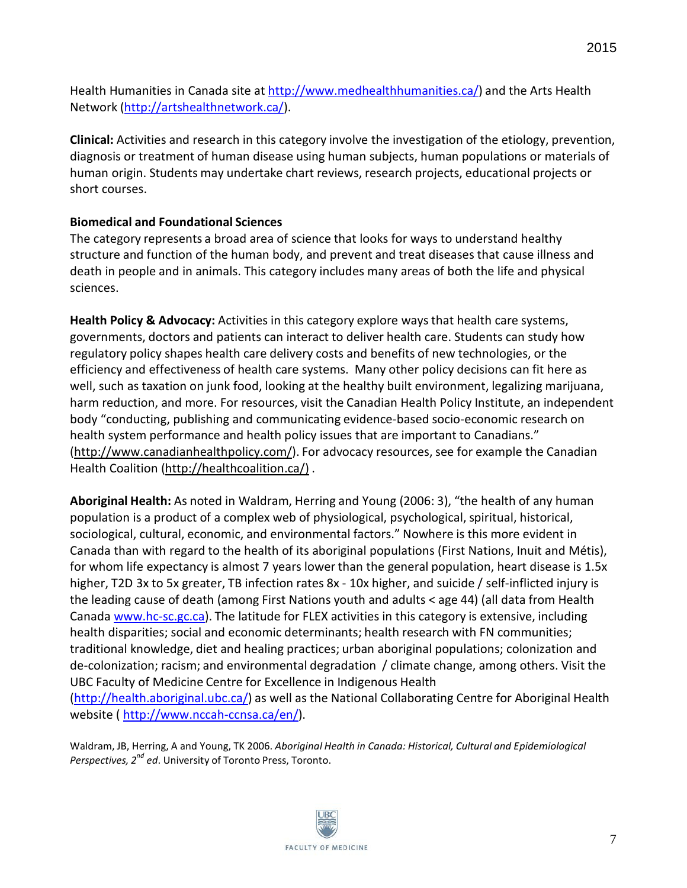Health Humanities in Canada site at [http://www.medhealthhumanities.ca/\)](http://www.medhealthhumanities.ca/) and the Arts Health Network [\(http://artshealthnetwork.ca/\)](http://artshealthnetwork.ca/).

**Clinical:** Activities and research in this category involve the investigation of the etiology, prevention, diagnosis or treatment of human disease using human subjects, human populations or materials of human origin. Students may undertake chart reviews, research projects, educational projects or short courses.

## **Biomedical and Foundational Sciences**

The category represents a broad area of science that looks for ways to understand healthy structure and function of the human body, and prevent and treat diseases that cause illness and death in people and in animals. This category includes many areas of both the life and physical sciences.

**Health Policy & Advocacy:** Activities in this category explore ways that health care systems, governments, doctors and patients can interact to deliver health care. Students can study how regulatory policy shapes health care delivery costs and benefits of new technologies, or the efficiency and effectiveness of health care systems. Many other policy decisions can fit here as well, such as taxation on junk food, looking at the healthy built environment, legalizing marijuana, harm reduction, and more. For resources, visit the Canadian Health Policy Institute, an independent body "conducting, publishing and communicating evidence-based socio-economic research on health system performance and health policy issues that are important to Canadians." [\(http://www.canadianhealthpolicy.com/\)](http://www.canadianhealthpolicy.com/). For advocacy resources, see for example the Canadian Health Coalition [\(http://healthcoalition.ca/\)](http://healthcoalition.ca/)) .

**Aboriginal Health:** As noted in Waldram, Herring and Young (2006: 3), "the health of any human population is a product of a complex web of physiological, psychological, spiritual, historical, sociological, cultural, economic, and environmental factors." Nowhere is this more evident in Canada than with regard to the health of its aboriginal populations (First Nations, Inuit and Métis), for whom life expectancy is almost 7 years lower than the general population, heart disease is 1.5x higher, T2D 3x to 5x greater, TB infection rates 8x - 10x higher, and suicide / self-inflicted injury is the leading cause of death (among First Nations youth and adults < age 44) (all data from Health Canada [www.hc-sc.gc.ca\)](http://www.hc-sc.gc.ca/). The latitude for FLEX activities in this category is extensive, including health disparities; social and economic determinants; health research with FN communities; traditional knowledge, diet and healing practices; urban aboriginal populations; colonization and de-colonization; racism; and environmental degradation / climate change, among others. Visit the UBC Faculty of Medicine Centre for Excellence in Indigenous Health [\(http://health.aboriginal.ubc.ca/\)](http://health.aboriginal.ubc.ca/) as well as the National Collaborating Centre for Aboriginal Health

website [\( http://www.nccah-ccnsa.ca/en/\)](http://www.nccah-ccnsa.ca/en/).

Waldram, JB, Herring, A and Young, TK 2006. *Aboriginal Health in Canada: Historical, Cultural and Epidemiological* Perspectives, 2<sup>nd</sup> ed. University of Toronto Press, Toronto.